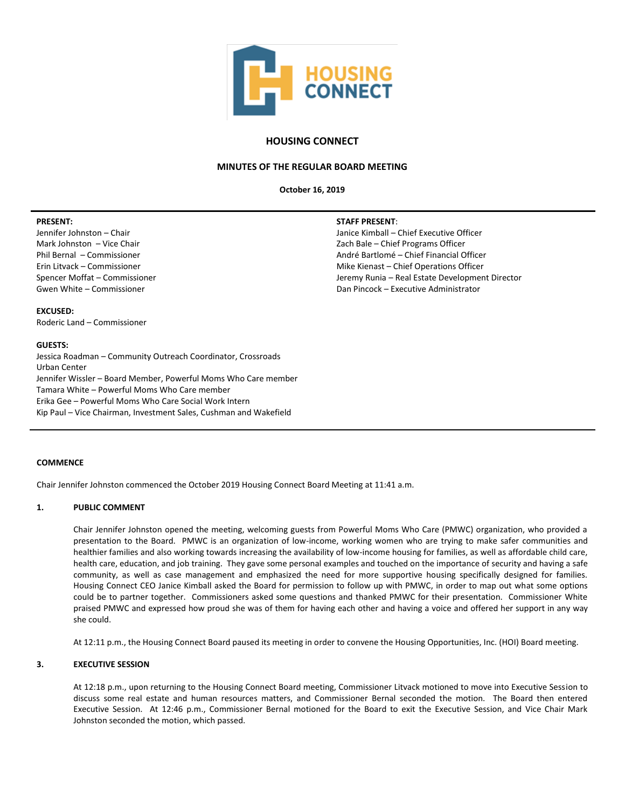

## **HOUSING CONNECT**

## **MINUTES OF THE REGULAR BOARD MEETING**

**October 16, 2019**

#### **PRESENT:**

Jennifer Johnston – Chair Mark Johnston – Vice Chair Phil Bernal – Commissioner Erin Litvack – Commissioner Spencer Moffat – Commissioner Gwen White – Commissioner

# **STAFF PRESENT**:

Janice Kimball – Chief Executive Officer Zach Bale – Chief Programs Officer André Bartlomé – Chief Financial Officer Mike Kienast – Chief Operations Officer Jeremy Runia – Real Estate Development Director Dan Pincock – Executive Administrator

#### **EXCUSED:** Roderic Land – Commissioner

#### **GUESTS:**

Jessica Roadman – Community Outreach Coordinator, Crossroads Urban Center Jennifer Wissler – Board Member, Powerful Moms Who Care member Tamara White – Powerful Moms Who Care member Erika Gee – Powerful Moms Who Care Social Work Intern Kip Paul – Vice Chairman, Investment Sales, Cushman and Wakefield

## **COMMENCE**

Chair Jennifer Johnston commenced the October 2019 Housing Connect Board Meeting at 11:41 a.m.

## **1. PUBLIC COMMENT**

Chair Jennifer Johnston opened the meeting, welcoming guests from Powerful Moms Who Care (PMWC) organization, who provided a presentation to the Board. PMWC is an organization of low-income, working women who are trying to make safer communities and healthier families and also working towards increasing the availability of low-income housing for families, as well as affordable child care, health care, education, and job training. They gave some personal examples and touched on the importance of security and having a safe community, as well as case management and emphasized the need for more supportive housing specifically designed for families. Housing Connect CEO Janice Kimball asked the Board for permission to follow up with PMWC, in order to map out what some options could be to partner together. Commissioners asked some questions and thanked PMWC for their presentation. Commissioner White praised PMWC and expressed how proud she was of them for having each other and having a voice and offered her support in any way she could.

At 12:11 p.m., the Housing Connect Board paused its meeting in order to convene the Housing Opportunities, Inc. (HOI) Board meeting.

## **3. EXECUTIVE SESSION**

At 12:18 p.m., upon returning to the Housing Connect Board meeting, Commissioner Litvack motioned to move into Executive Session to discuss some real estate and human resources matters, and Commissioner Bernal seconded the motion. The Board then entered Executive Session. At 12:46 p.m., Commissioner Bernal motioned for the Board to exit the Executive Session, and Vice Chair Mark Johnston seconded the motion, which passed.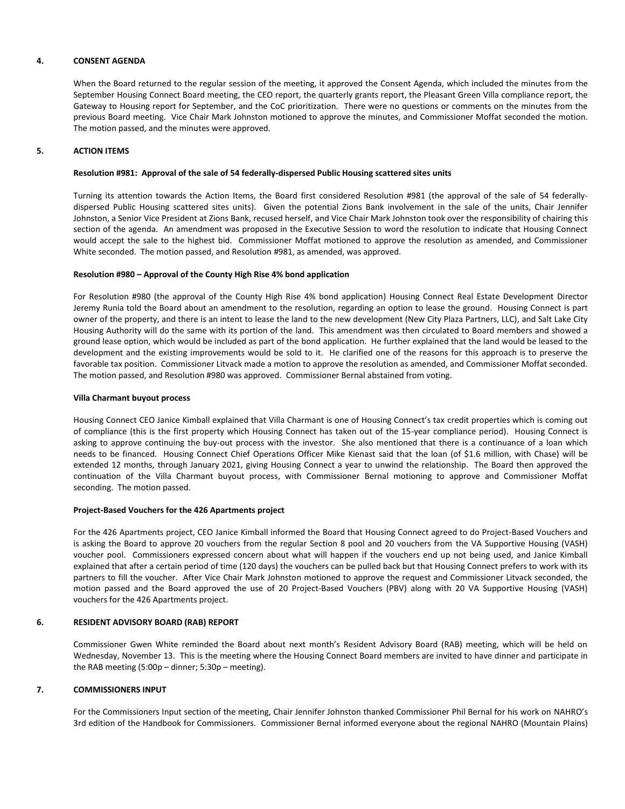## **4. CONSENT AGENDA**

When the Board returned to the regular session of the meeting, it approved the Consent Agenda, which included the minutes from the September Housing Connect Board meeting, the CEO report, the quarterly grants report, the Pleasant Green Villa compliance report, the Gateway to Housing report for September, and the CoC prioritization. There were no questions or comments on the minutes from the previous Board meeting. Vice Chair Mark Johnston motioned to approve the minutes, and Commissioner Moffat seconded the motion. The motion passed, and the minutes were approved.

## **5. ACTION ITEMS**

## **Resolution #981: Approval of the sale of 54 federally-dispersed Public Housing scattered sites units**

Turning its attention towards the Action Items, the Board first considered Resolution #981 (the approval of the sale of 54 federallydispersed Public Housing scattered sites units). Given the potential Zions Bank involvement in the sale of the units, Chair Jennifer Johnston, a Senior Vice President at Zions Bank, recused herself, and Vice Chair Mark Johnston took over the responsibility of chairing this section of the agenda. An amendment was proposed in the Executive Session to word the resolution to indicate that Housing Connect would accept the sale to the highest bid. Commissioner Moffat motioned to approve the resolution as amended, and Commissioner White seconded. The motion passed, and Resolution #981, as amended, was approved.

## **Resolution #980 – Approval of the County High Rise 4% bond application**

For Resolution #980 (the approval of the County High Rise 4% bond application) Housing Connect Real Estate Development Director Jeremy Runia told the Board about an amendment to the resolution, regarding an option to lease the ground. Housing Connect is part owner of the property, and there is an intent to lease the land to the new development (New City Plaza Partners, LLC), and Salt Lake City Housing Authority will do the same with its portion of the land. This amendment was then circulated to Board members and showed a ground lease option, which would be included as part of the bond application. He further explained that the land would be leased to the development and the existing improvements would be sold to it. He clarified one of the reasons for this approach is to preserve the favorable tax position. Commissioner Litvack made a motion to approve the resolution as amended, and Commissioner Moffat seconded. The motion passed, and Resolution #980 was approved. Commissioner Bernal abstained from voting.

#### **Villa Charmant buyout process**

Housing Connect CEO Janice Kimball explained that Villa Charmant is one of Housing Connect's tax credit properties which is coming out of compliance (this is the first property which Housing Connect has taken out of the 15-year compliance period). Housing Connect is asking to approve continuing the buy-out process with the investor. She also mentioned that there is a continuance of a loan which needs to be financed. Housing Connect Chief Operations Officer Mike Kienast said that the loan (of \$1.6 million, with Chase) will be extended 12 months, through January 2021, giving Housing Connect a year to unwind the relationship. The Board then approved the continuation of the Villa Charmant buyout process, with Commissioner Bernal motioning to approve and Commissioner Moffat seconding. The motion passed.

## **Project-Based Vouchers for the 426 Apartments project**

For the 426 Apartments project, CEO Janice Kimball informed the Board that Housing Connect agreed to do Project-Based Vouchers and is asking the Board to approve 20 vouchers from the regular Section 8 pool and 20 vouchers from the VA Supportive Housing (VASH) voucher pool. Commissioners expressed concern about what will happen if the vouchers end up not being used, and Janice Kimball explained that after a certain period of time (120 days) the vouchers can be pulled back but that Housing Connect prefers to work with its partners to fill the voucher. After Vice Chair Mark Johnston motioned to approve the request and Commissioner Litvack seconded, the motion passed and the Board approved the use of 20 Project-Based Vouchers (PBV) along with 20 VA Supportive Housing (VASH) vouchers for the 426 Apartments project.

## **6. RESIDENT ADVISORY BOARD (RAB) REPORT**

Commissioner Gwen White reminded the Board about next month's Resident Advisory Board (RAB) meeting, which will be held on Wednesday, November 13. This is the meeting where the Housing Connect Board members are invited to have dinner and participate in the RAB meeting (5:00p – dinner; 5:30p – meeting).

## **7. COMMISSIONERS INPUT**

For the Commissioners Input section of the meeting, Chair Jennifer Johnston thanked Commissioner Phil Bernal for his work on NAHRO's 3rd edition of the Handbook for Commissioners. Commissioner Bernal informed everyone about the regional NAHRO (Mountain Plains)